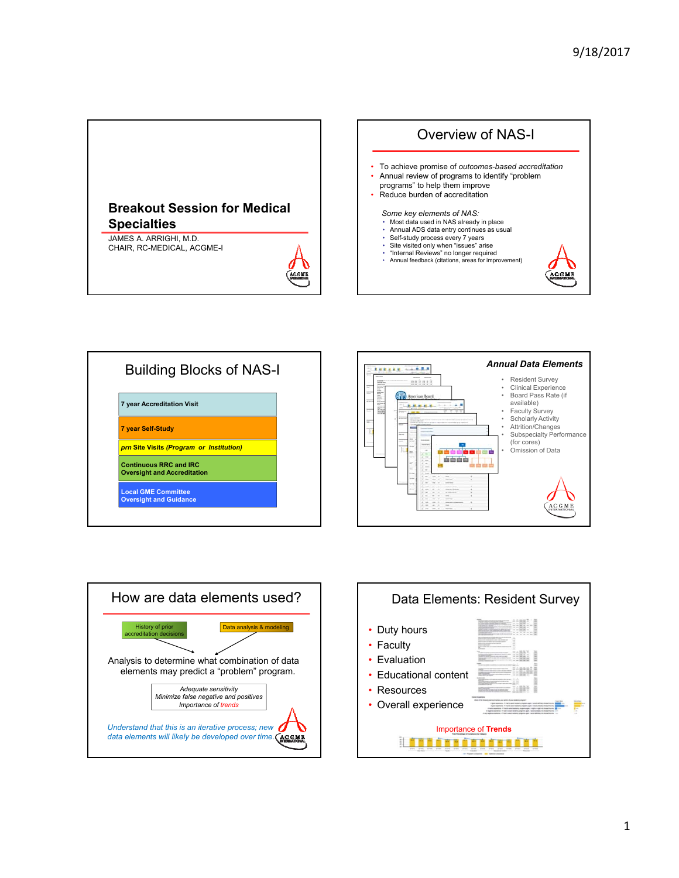







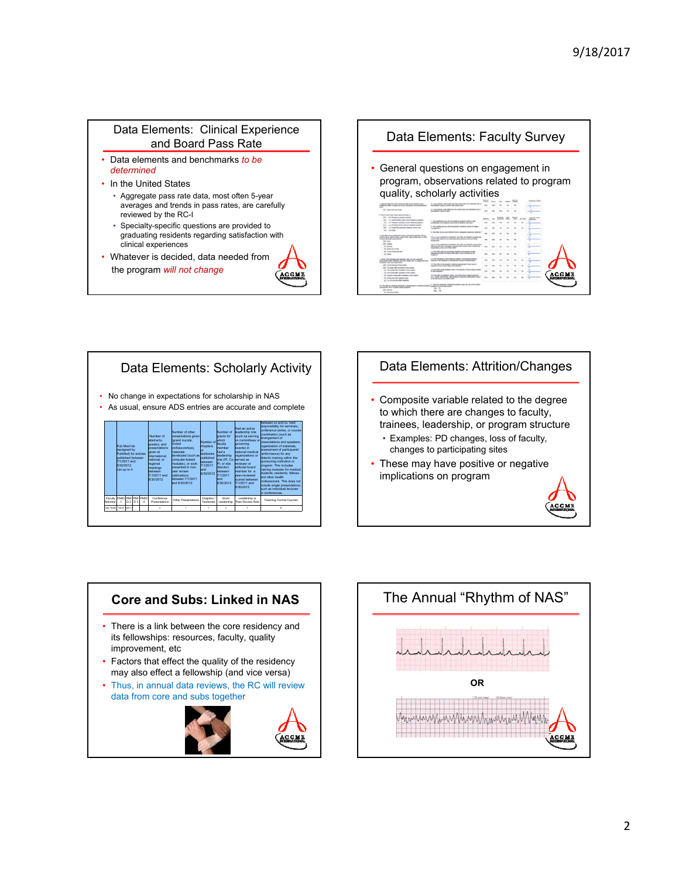## Data Elements: Clinical Experience and Board Pass Rate

- Data elements and benchmarks *to be determined*
- In the United States
	- Aggregate pass rate data, most often 5-year averages and trends in pass rates, are carefully reviewed by the RC-I
	- Specialty-specific questions are provided to graduating residents regarding satisfaction with clinical experiences

<u>ACGME</u>

• Whatever is decided, data needed from the program *will not change* 

## Data Elements: Faculty Survey • General questions on engagement in program, observations related to program quality, scholarly activities **SAYARD**  $1 - 20$  $\frac{1}{\sqrt{2}}$  and the second control of



## Data Elements: Attrition/Changes

- Composite variable related to the degree to which there are changes to faculty, trainees, leadership, or program structure
	- Examples: PD changes, loss of faculty, changes to participating sites
- These may have positive or negative implications on program



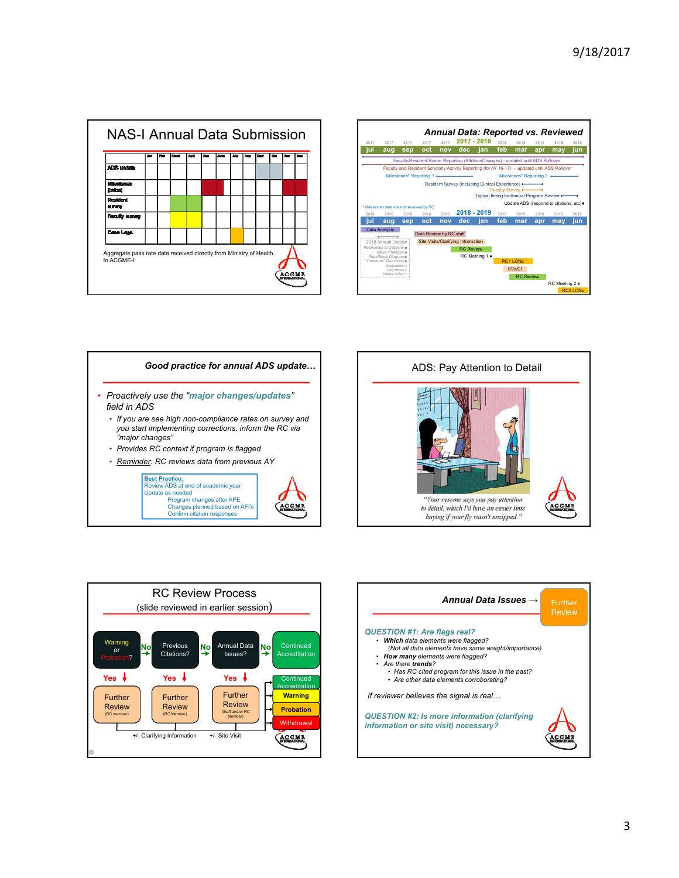







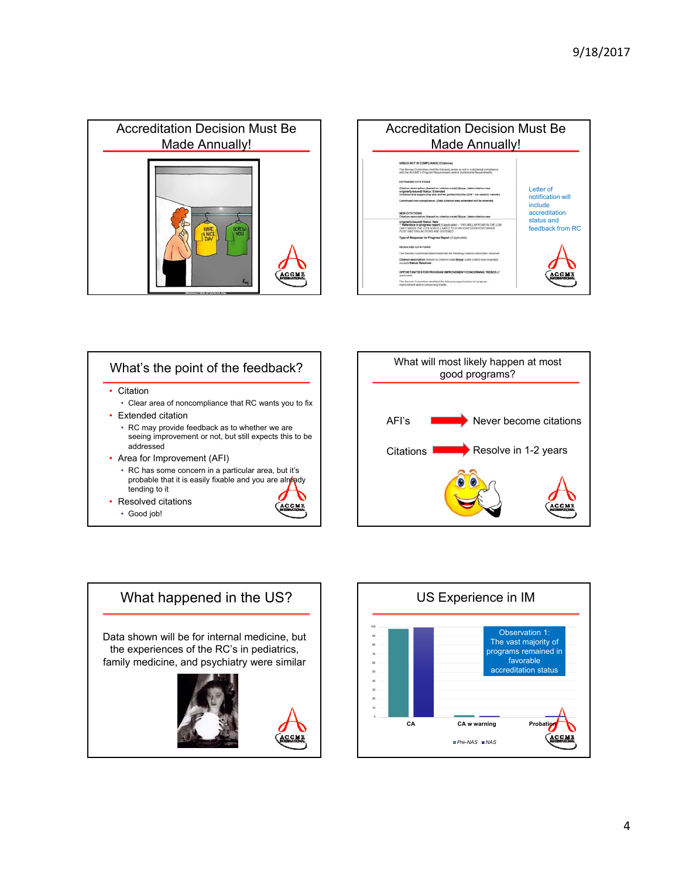





tending to it

**ACCME** 

- Resolved citations
	- Good job!





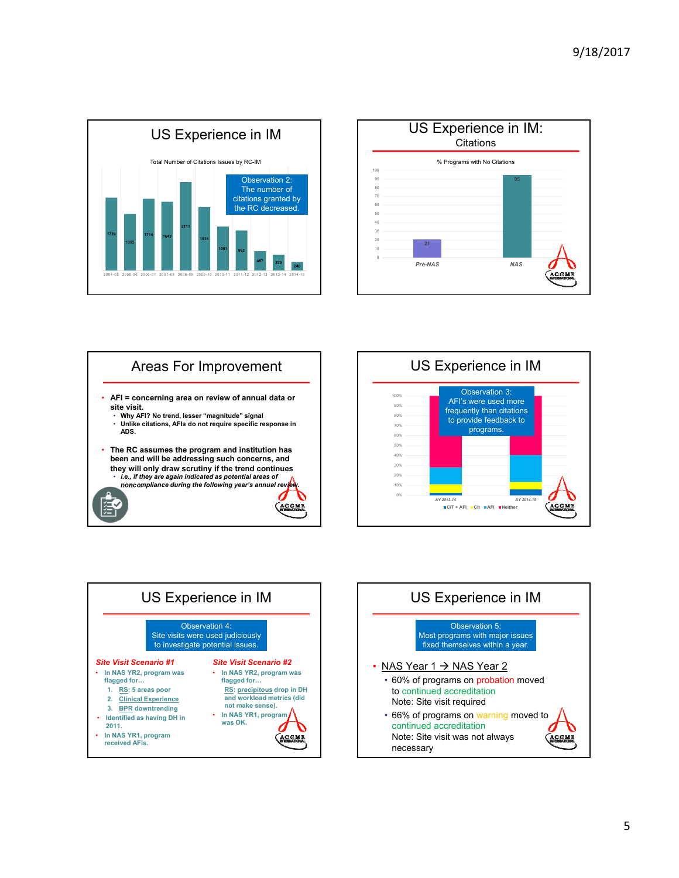